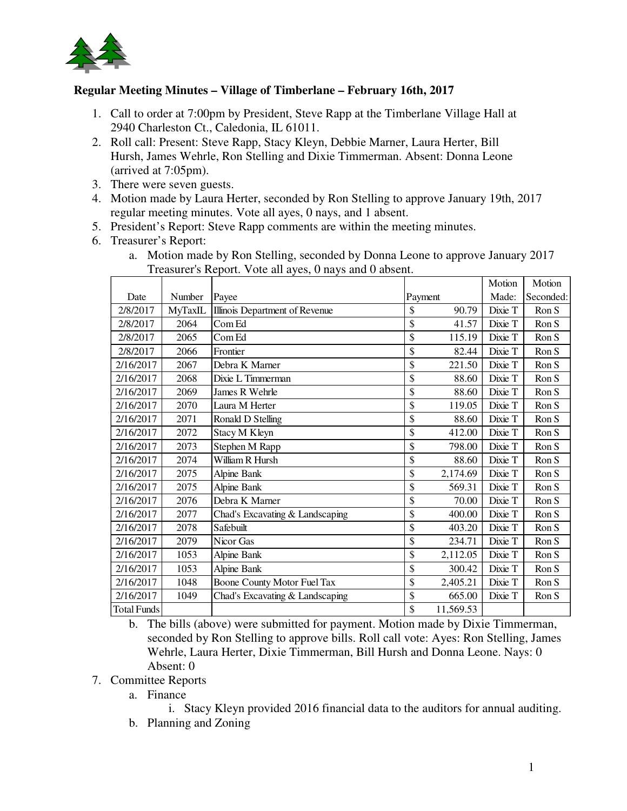

## **Regular Meeting Minutes – Village of Timberlane – February 16th, 2017**

- 1. Call to order at 7:00pm by President, Steve Rapp at the Timberlane Village Hall at 2940 Charleston Ct., Caledonia, IL 61011.
- 2. Roll call: Present: Steve Rapp, Stacy Kleyn, Debbie Marner, Laura Herter, Bill Hursh, James Wehrle, Ron Stelling and Dixie Timmerman. Absent: Donna Leone (arrived at 7:05pm).
- 3. There were seven guests.
- 4. Motion made by Laura Herter, seconded by Ron Stelling to approve January 19th, 2017 regular meeting minutes. Vote all ayes, 0 nays, and 1 absent.
- 5. President's Report: Steve Rapp comments are within the meeting minutes.
- 6. Treasurer's Report:

|                    |         | $11000$ and $0.100$ port. There are a $1000$ , $0.100$ pc and $0.000$ and $0.000$ |         |           | Motion  | Motion    |
|--------------------|---------|-----------------------------------------------------------------------------------|---------|-----------|---------|-----------|
| Date               | Number  | Payee                                                                             | Payment |           | Made:   | Seconded: |
| 2/8/2017           | MyTaxIL | Illinois Department of Revenue                                                    | \$      | 90.79     | Dixie T | Ron S     |
| 2/8/2017           | 2064    | Com Ed                                                                            | \$      | 41.57     | Dixie T | Ron S     |
| 2/8/2017           | 2065    | Com Ed                                                                            | \$      | 115.19    | Dixie T | Ron S     |
| 2/8/2017           | 2066    | Frontier                                                                          | \$      | 82.44     | Dixie T | Ron S     |
| 2/16/2017          | 2067    | Debra K Marner                                                                    | \$      | 221.50    | Dixie T | Ron S     |
| 2/16/2017          | 2068    | Dixie L Timmerman                                                                 | \$      | 88.60     | Dixie T | Ron S     |
| 2/16/2017          | 2069    | James R Wehrle                                                                    | \$      | 88.60     | Dixie T | Ron S     |
| 2/16/2017          | 2070    | Laura M Herter                                                                    | \$      | 119.05    | Dixie T | Ron S     |
| 2/16/2017          | 2071    | Ronald D Stelling                                                                 | \$      | 88.60     | Dixie T | Ron S     |
| 2/16/2017          | 2072    | Stacy M Kleyn                                                                     | \$      | 412.00    | Dixie T | Ron S     |
| 2/16/2017          | 2073    | Stephen M Rapp                                                                    | \$      | 798.00    | Dixie T | Ron S     |
| 2/16/2017          | 2074    | William R Hursh                                                                   | \$      | 88.60     | Dixie T | Ron S     |
| 2/16/2017          | 2075    | <b>Alpine Bank</b>                                                                | \$      | 2,174.69  | Dixie T | Ron S     |
| 2/16/2017          | 2075    | Alpine Bank                                                                       | \$      | 569.31    | Dixie T | Ron S     |
| 2/16/2017          | 2076    | Debra K Marner                                                                    | \$      | 70.00     | Dixie T | Ron S     |
| 2/16/2017          | 2077    | Chad's Excavating & Landscaping                                                   | \$      | 400.00    | Dixie T | Ron S     |
| 2/16/2017          | 2078    | Safebuilt                                                                         | \$      | 403.20    | Dixie T | Ron S     |
| 2/16/2017          | 2079    | Nicor Gas                                                                         | \$      | 234.71    | Dixie T | Ron S     |
| 2/16/2017          | 1053    | <b>Alpine Bank</b>                                                                | \$      | 2,112.05  | Dixie T | Ron S     |
| 2/16/2017          | 1053    | Alpine Bank                                                                       | \$      | 300.42    | Dixie T | Ron S     |
| 2/16/2017          | 1048    | Boone County Motor Fuel Tax                                                       | \$      | 2,405.21  | Dixie T | Ron S     |
| 2/16/2017          | 1049    | Chad's Excavating & Landscaping                                                   | \$      | 665.00    | Dixie T | Ron S     |
| <b>Total Funds</b> |         |                                                                                   | \$      | 11,569.53 |         |           |

a. Motion made by Ron Stelling, seconded by Donna Leone to approve January 2017 Treasurer's Report. Vote all ayes, 0 nays and 0 absent.

b. The bills (above) were submitted for payment. Motion made by Dixie Timmerman, seconded by Ron Stelling to approve bills. Roll call vote: Ayes: Ron Stelling, James Wehrle, Laura Herter, Dixie Timmerman, Bill Hursh and Donna Leone. Nays: 0 Absent: 0

- 7. Committee Reports
	- a. Finance

i. Stacy Kleyn provided 2016 financial data to the auditors for annual auditing. b. Planning and Zoning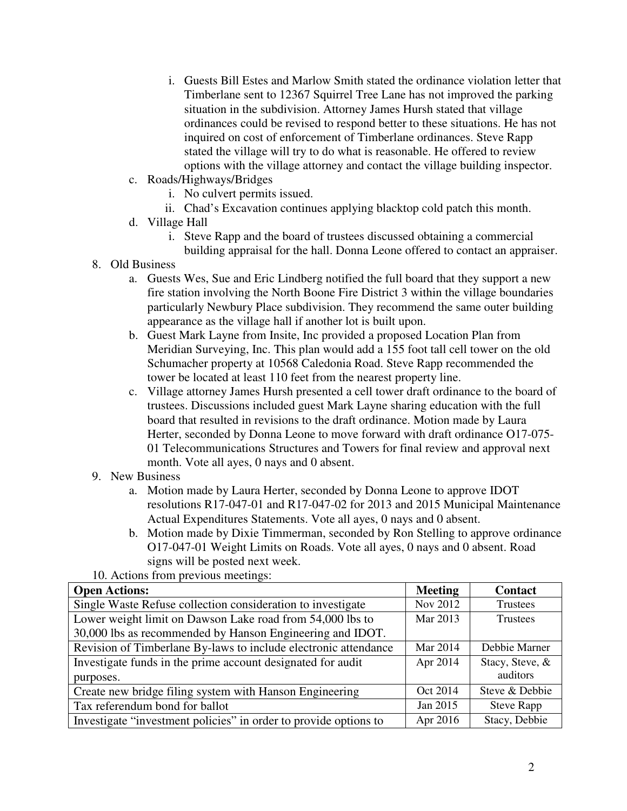- i. Guests Bill Estes and Marlow Smith stated the ordinance violation letter that Timberlane sent to 12367 Squirrel Tree Lane has not improved the parking situation in the subdivision. Attorney James Hursh stated that village ordinances could be revised to respond better to these situations. He has not inquired on cost of enforcement of Timberlane ordinances. Steve Rapp stated the village will try to do what is reasonable. He offered to review options with the village attorney and contact the village building inspector.
- c. Roads/Highways/Bridges
	- i. No culvert permits issued.
	- ii. Chad's Excavation continues applying blacktop cold patch this month.
- d. Village Hall
	- i. Steve Rapp and the board of trustees discussed obtaining a commercial building appraisal for the hall. Donna Leone offered to contact an appraiser.
- 8. Old Business
	- a. Guests Wes, Sue and Eric Lindberg notified the full board that they support a new fire station involving the North Boone Fire District 3 within the village boundaries particularly Newbury Place subdivision. They recommend the same outer building appearance as the village hall if another lot is built upon.
	- b. Guest Mark Layne from Insite, Inc provided a proposed Location Plan from Meridian Surveying, Inc. This plan would add a 155 foot tall cell tower on the old Schumacher property at 10568 Caledonia Road. Steve Rapp recommended the tower be located at least 110 feet from the nearest property line.
	- c. Village attorney James Hursh presented a cell tower draft ordinance to the board of trustees. Discussions included guest Mark Layne sharing education with the full board that resulted in revisions to the draft ordinance. Motion made by Laura Herter, seconded by Donna Leone to move forward with draft ordinance O17-075- 01 Telecommunications Structures and Towers for final review and approval next month. Vote all ayes, 0 nays and 0 absent.
- 9. New Business
	- a. Motion made by Laura Herter, seconded by Donna Leone to approve IDOT resolutions R17-047-01 and R17-047-02 for 2013 and 2015 Municipal Maintenance Actual Expenditures Statements. Vote all ayes, 0 nays and 0 absent.
	- b. Motion made by Dixie Timmerman, seconded by Ron Stelling to approve ordinance O17-047-01 Weight Limits on Roads. Vote all ayes, 0 nays and 0 absent. Road signs will be posted next week.

10. Actions from previous meetings:

| <b>Open Actions:</b>                                             | <b>Meeting</b> | <b>Contact</b>    |  |
|------------------------------------------------------------------|----------------|-------------------|--|
| Single Waste Refuse collection consideration to investigate      | Nov 2012       | Trustees          |  |
| Lower weight limit on Dawson Lake road from 54,000 lbs to        | Mar 2013       | <b>Trustees</b>   |  |
| 30,000 lbs as recommended by Hanson Engineering and IDOT.        |                |                   |  |
| Revision of Timberlane By-laws to include electronic attendance  | Mar 2014       | Debbie Marner     |  |
| Investigate funds in the prime account designated for audit      | Apr 2014       | Stacy, Steve, &   |  |
| purposes.                                                        |                | auditors          |  |
| Create new bridge filing system with Hanson Engineering          | Oct 2014       | Steve & Debbie    |  |
| Tax referendum bond for ballot                                   | Jan 2015       | <b>Steve Rapp</b> |  |
| Investigate "investment policies" in order to provide options to | Apr 2016       | Stacy, Debbie     |  |